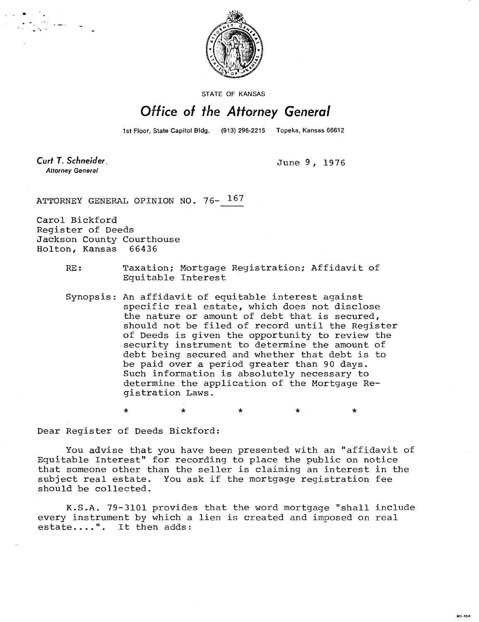

STATE OF KANSAS

## Office of the Attorney General

1st Floor, State Capitol Bldg. (913) 296-2215 Topeka, Kansas 66612

Curt T. Schneider **Attorney General** 

June 9, 1976

MILTO41

ATTORNEY GENERAL OPINION NO. 76- 167

Carol Bickford Register of Deeds Jackson County Courthouse Holton, Kansas 66436

- RE: Taxation; Mortgage Registration; Affidavit of Equitable Interest
- Synopsis: An affidavit of equitable interest against specific real estate, which does not disclose the nature or amount of debt that is secured, should not be filed of record until the Register of Deeds is given the opportunity to review the security instrument to determine the amount of debt being secured and whether that debt is to be paid over a period greater than 90 days. Such information is absolutely necessary to determine the application of the Mortgage Registration Laws.

\* \* \* \*

Dear Register of Deeds Bickford:

You advise that you have been presented with an "affidavit of Equitable Interest" for recording to place the public on notice that someone other than the seller is claiming an interest in the subject real estate. You ask if the mortgage registration fee should be collected.

K.S.A. 79-3101 provides that the word mortgage "shall include every instrument by which a lien is created and imposed on real estate....". It then adds: